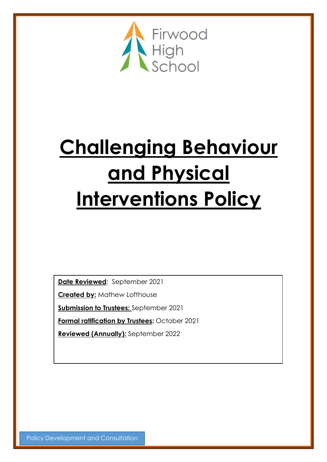

# **Challenging Behaviour and Physical Interventions Policy**

**Date Reviewed**: September 2021

**Created by:** Mathew Lofthouse

**Submission to Trustees:** September 2021

**Formal ratification by Trustees:** October 2021

**Reviewed (Annually):** September 2022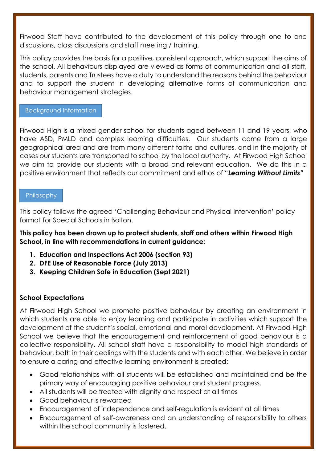Firwood Staff have contributed to the development of this policy through one to one discussions, class discussions and staff meeting / training.

This policy provides the basis for a positive, consistent approach, which support the aims of the school. All behaviours displayed are viewed as forms of communication and all staff, students, parents and Trustees have a duty to understand the reasons behind the behaviour and to support the student in developing alternative forms of communication and behaviour management strategies.

#### Background Information

Firwood High is a mixed gender school for students aged between 11 and 19 years, who have ASD, PMLD and complex learning difficulties. Our students come from a large geographical area and are from many different faiths and cultures, and in the majority of cases our students are transported to school by the local authority. At Firwood High School we aim to provide our students with a broad and relevant education. We do this in a positive environment that reflects our commitment and ethos of "*Learning Without Limits"*

#### Philosophy

This policy follows the agreed 'Challenging Behaviour and Physical Intervention' policy format for Special Schools in Bolton.

**This policy has been drawn up to protect students, staff and others within Firwood High School, in line with recommendations in current guidance:**

- **1. Education and Inspections Act 2006 (section 93)**
- **2. DFE Use of Reasonable Force (July 2013)**
- **3. Keeping Children Safe in Education (Sept 2021)**

#### **School Expectations**

At Firwood High School we promote positive behaviour by creating an environment in which students are able to enjoy learning and participate in activities which support the development of the student's social, emotional and moral development. At Firwood High School we believe that the encouragement and reinforcement of good behaviour is a collective responsibility. All school staff have a responsibility to model high standards of behaviour, both in their dealings with the students and with each other. We believe in order to ensure a caring and effective learning environment is created:

- Good relationships with all students will be established and maintained and be the primary way of encouraging positive behaviour and student progress.
- All students will be treated with dignity and respect at all times
- Good behaviour is rewarded
- Encouragement of independence and self-regulation is evident at all times
- Encouragement of self-awareness and an understanding of responsibility to others within the school community is fostered.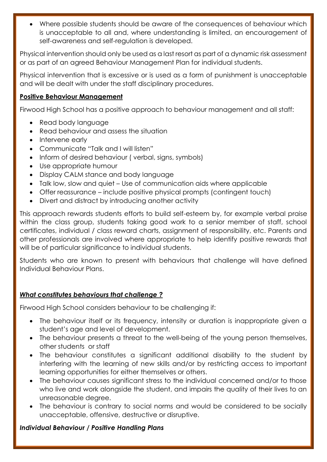• Where possible students should be aware of the consequences of behaviour which is unacceptable to all and, where understanding is limited, an encouragement of self-awareness and self-regulation is developed.

Physical intervention should only be used as a last resort as part of a dynamic risk assessment or as part of an agreed Behaviour Management Plan for individual students.

Physical intervention that is excessive or is used as a form of punishment is unacceptable and will be dealt with under the staff disciplinary procedures.

#### **Positive Behaviour Management**

Firwood High School has a positive approach to behaviour management and all staff:

- Read body language
- Read behaviour and assess the situation
- Intervene early
- Communicate "Talk and I will listen"
- Inform of desired behaviour (verbal, signs, symbols)
- Use appropriate humour
- Display CALM stance and body language
- Talk low, slow and quiet Use of communication aids where applicable
- Offer reassurance include positive physical prompts (contingent touch)
- Divert and distract by introducing another activity

This approach rewards students efforts to build self-esteem by, for example verbal praise within the class group, students taking good work to a senior member of staff, school certificates, individual / class reward charts, assignment of responsibility, etc. Parents and other professionals are involved where appropriate to help identify positive rewards that will be of particular significance to individual students.

Students who are known to present with behaviours that challenge will have defined Individual Behaviour Plans.

# *What constitutes behaviours that challenge ?*

Firwood High School considers behaviour to be challenging if:

- The behaviour itself or its frequency, intensity or duration is inappropriate given a student's age and level of development.
- The behaviour presents a threat to the well-being of the young person themselves, other students or staff
- The behaviour constitutes a significant additional disability to the student by interfering with the learning of new skills and/or by restricting access to important learning opportunities for either themselves or others.
- The behaviour causes significant stress to the individual concerned and/or to those who live and work alongside the student, and impairs the quality of their lives to an unreasonable degree.
- The behaviour is contrary to social norms and would be considered to be socially unacceptable, offensive, destructive or disruptive.

# *Individual Behaviour / Positive Handling Plans*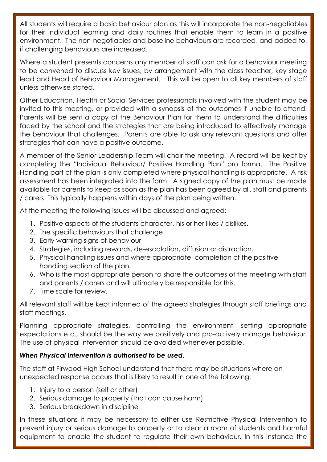All students will require a basic behaviour plan as this will incorporate the non-negotiables for their individual learning and daily routines that enable them to learn in a positive environment. The non-negotiables and baseline behaviours are recorded, and added to, if challenging behaviours are increased.

Where a student presents concerns any member of staff can ask for a behaviour meeting to be convened to discuss key issues, by arrangement with the class teacher, key stage lead and Head of Behaviour Management. This will be open to all key members of staff unless otherwise stated.

Other Education, Health or Social Services professionals involved with the student may be invited to this meeting, or provided with a synopsis of the outcomes if unable to attend. Parents will be sent a copy of the Behaviour Plan for them to understand the difficulties faced by the school and the strategies that are being introduced to effectively manage the behaviour that challenges. Parents are able to ask any relevant questions and offer strategies that can have a positive outcome.

A member of the Senior Leadership Team will chair the meeting. A record will be kept by completing the "Individual Behaviour/ Positive Handling Plan" pro forma. The Positive Handling part of the plan is only completed where physical handling is appropriate. A risk assessment has been integrated into the form. A signed copy of the plan must be made available for parents to keep as soon as the plan has been agreed by all, staff and parents / carers. This typically happens within days of the plan being written.

At the meeting the following issues will be discussed and agreed:

- 1. Positive aspects of the students character, his or her likes / dislikes.
- 2. The specific behaviours that challenge
- 3. Early warning signs of behaviour
- 4. Strategies, including rewards, de-escalation, diffusion or distraction.
- 5. Physical handling issues and where appropriate, completion of the positive handling section of the plan
- 6. Who is the most appropriate person to share the outcomes of the meeting with staff and parents / carers and will ultimately be responsible for this.
- 7. Time scale for review.

All relevant staff will be kept informed of the agreed strategies through staff briefings and staff meetings.

Planning appropriate strategies, controlling the environment, setting appropriate expectations etc., should be the way we positively and pro-actively manage behaviour. The use of physical intervention should be avoided whenever possible.

# *When Physical Intervention is authorised to be used.*

The staff at Firwood High School understand that there may be situations where an unexpected response occurs that is likely to result in one of the following:

- 1. Injury to a person (self or other)
- 2. Serious damage to property (that can cause harm)
- 3. Serious breakdown in discipline

In these situations it may be necessary to either use Restrictive Physical Intervention to prevent injury or serious damage to property or to clear a room of students and harmful equipment to enable the student to regulate their own behaviour. In this instance the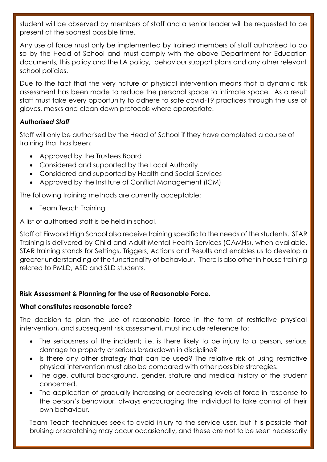student will be observed by members of staff and a senior leader will be requested to be present at the soonest possible time.

Any use of force must only be implemented by trained members of staff authorised to do so by the Head of School and must comply with the above Department for Education documents, this policy and the LA policy, behaviour support plans and any other relevant school policies.

Due to the fact that the very nature of physical intervention means that a dynamic risk assessment has been made to reduce the personal space to intimate space. As a result staff must take every opportunity to adhere to safe covid-19 practices through the use of gloves, masks and clean down protocols where appropriate.

# *Authorised Staff*

Staff will only be authorised by the Head of School if they have completed a course of training that has been:

- Approved by the Trustees Board
- Considered and supported by the Local Authority
- Considered and supported by Health and Social Services
- Approved by the Institute of Conflict Management (ICM)

The following training methods are currently acceptable:

• Team Teach Training

A list of authorised staff is be held in school.

Staff at Firwood High School also receive training specific to the needs of the students. STAR Training is delivered by Child and Adult Mental Health Services (CAMHs), when available. STAR training stands for Settings, Triggers, Actions and Results and enables us to develop a greater understanding of the functionality of behaviour. There is also other in house training related to PMLD, ASD and SLD students.

# **Risk Assessment & Planning for the use of Reasonable Force.**

# **What constitutes reasonable force?**

The decision to plan the use of reasonable force in the form of restrictive physical intervention, and subsequent risk assessment, must include reference to:

- The seriousness of the incident; i.e. is there likely to be injury to a person, serious damage to property or serious breakdown in discipline?
- Is there any other strategy that can be used? The relative risk of using restrictive physical intervention must also be compared with other possible strategies.
- The age, cultural background, gender, stature and medical history of the student concerned.
- The application of gradually increasing or decreasing levels of force in response to the person's behaviour, always encouraging the individual to take control of their own behaviour.

Team Teach techniques seek to avoid injury to the service user, but it is possible that bruising or scratching may occur occasionally, and these are not to be seen necessarily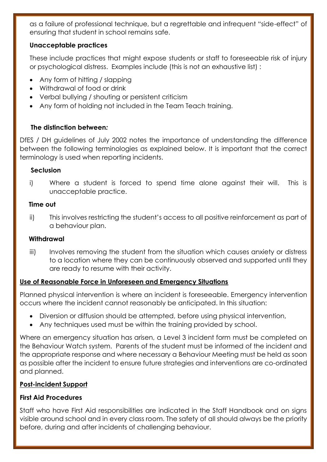as a failure of professional technique, but a regrettable and infrequent "side-effect" of ensuring that student in school remains safe.

#### **Unacceptable practices**

These include practices that might expose students or staff to foreseeable risk of injury or psychological distress. Examples include (this is not an exhaustive list) :

- Any form of hitting / slapping
- Withdrawal of food or drink
- Verbal bullying / shouting or persistent criticism
- Any form of holding not included in the Team Teach training.

#### **The distinction between***:*

DfES / DH guidelines of July 2002 notes the importance of understanding the difference between the following terminologies as explained below. It is important that the correct terminology is used when reporting incidents.

#### **Seclusion**

i) Where a student is forced to spend time alone against their will. This is unacceptable practice.

#### **Time out**

ii) This involves restricting the student's access to all positive reinforcement as part of a behaviour plan.

#### **Withdrawal**

iii) Involves removing the student from the situation which causes anxiety or distress to a location where they can be continuously observed and supported until they are ready to resume with their activity.

# **Use of Reasonable Force in Unforeseen and Emergency Situations**

Planned physical intervention is where an incident is foreseeable. Emergency intervention occurs where the incident cannot reasonably be anticipated. In this situation:

- Diversion or diffusion should be attempted, before using physical intervention,
- Any techniques used must be within the training provided by school.

Where an emergency situation has arisen, a Level 3 incident form must be completed on the Behaviour Watch system. Parents of the student must be informed of the incident and the appropriate response and where necessary a Behaviour Meeting must be held as soon as possible after the incident to ensure future strategies and interventions are co-ordinated and planned.

# **Post-incident Support**

# **First Aid Procedures**

Staff who have First Aid responsibilities are indicated in the Staff Handbook and on signs visible around school and in every class room. The safety of all should always be the priority before, during and after incidents of challenging behaviour.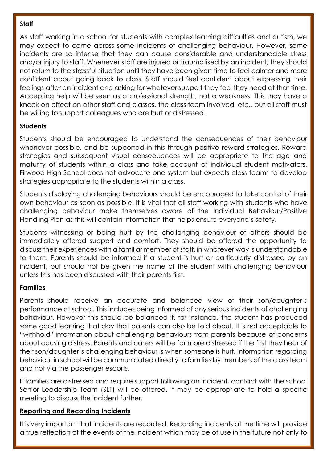#### **Staff**

As staff working in a school for students with complex learning difficulties and autism, we may expect to come across some incidents of challenging behaviour. However, some incidents are so intense that they can cause considerable and understandable stress and/or injury to staff. Whenever staff are injured or traumatised by an incident, they should not return to the stressful situation until they have been given time to feel calmer and more confident about going back to class. Staff should feel confident about expressing their feelings after an incident and asking for whatever support they feel they need at that time. Accepting help will be seen as a professional strength, not a weakness. This may have a knock-on effect on other staff and classes, the class team involved, etc., but all staff must be willing to support colleagues who are hurt or distressed.

# **Students**

Students should be encouraged to understand the consequences of their behaviour whenever possible, and be supported in this through positive reward strategies. Reward strategies and subsequent visual consequences will be appropriate to the age and maturity of students within a class and take account of individual student motivators. Firwood High School does not advocate one system but expects class teams to develop strategies appropriate to the students within a class.

Students displaying challenging behaviours should be encouraged to take control of their own behaviour as soon as possible. It is vital that all staff working with students who have challenging behaviour make themselves aware of the Individual Behaviour/Positive Handling Plan as this will contain information that helps ensure everyone's safety.

Students witnessing or being hurt by the challenging behaviour of others should be immediately offered support and comfort. They should be offered the opportunity to discuss their experiences with a familiar member of staff, in whatever way is understandable to them. Parents should be informed if a student is hurt or particularly distressed by an incident, but should not be given the name of the student with challenging behaviour unless this has been discussed with their parents first.

# **Families**

Parents should receive an accurate and balanced view of their son/daughter's performance at school. This includes being informed of any serious incidents of challenging behaviour. However this should be balanced if, for instance, the student has produced some good leanring that day that parents can also be told about. It is not acceptable to "withhold" information about challenging behaviours from parents because of concerns about causing distress. Parents and carers will be far more distressed if the first they hear of their son/daughter's challenging behaviour is when someone is hurt. Information regarding behaviour in school will be communicated directly to families by members of the class team and not via the passenger escorts.

If families are distressed and require support following an incident, contact with the school Senior Leadership Team (SLT) will be offered. It may be appropriate to hold a specific meeting to discuss the incident further.

#### **Reporting and Recording Incidents**

It is very important that incidents are recorded. Recording incidents at the time will provide a true reflection of the events of the incident which may be of use in the future not only to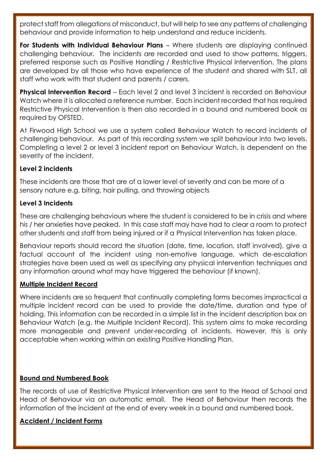protect staff from allegations of misconduct, but will help to see any patterns of challenging behaviour and provide information to help understand and reduce incidents.

**For Students with Individual Behaviour Plans** – Where students are displaying continued challenging behaviour. The incidents are recorded and used to show patterns, triggers, preferred response such as Positive Handling / Restrictive Physical Intervention. The plans are developed by all those who have experience of the student and shared with SLT, all staff who work with that student and parents / carers.

**Physical Intervention Record** – Each level 2 and level 3 incident is recorded on Behaviour Watch where it is allocated a reference number. Each incident recorded that has required Restrictive Physical Intervention is then also recorded in a bound and numbered book as required by OFSTED.

At Firwood High School we use a system called Behaviour Watch to record incidents of challenging behaviour. As part of this recording system we split behaviour into two levels. Completing a level 2 or level 3 incident report on Behaviour Watch, is dependent on the severity of the incident.

#### **Level 2 incidents**

These incidents are those that are of a lower level of severity and can be more of a sensory nature e.g. biting, hair pulling, and throwing objects

# **Level 3 Incidents**

These are challenging behaviours where the student is considered to be in crisis and where his / her anxieties have peaked. In this case staff may have had to clear a room to protect other students and staff from being injured or if a Physical Intervention has taken place.

Behaviour reports should record the situation (date, time, location, staff involved), give a factual account of the incident using non-emotive language, which de-escalation strategies have been used as well as specifying any physical intervention techniques and any information around what may have triggered the behaviour (if known).

#### **Multiple Incident Record**

Where incidents are so frequent that continually completing forms becomes impractical a multiple incident record can be used to provide the date/time, duration and type of holding. This information can be recorded in a simple list in the incident description box on Behaviour Watch (e.g. the Multiple Incident Record). This system aims to make recording more manageable and prevent under-recording of incidents. However, this is only acceptable when working within an existing Positive Handling Plan.

#### **Bound and Numbered Book**

The records of use of Restrictive Physical Intervention are sent to the Head of School and Head of Behaviour via an automatic email. The Head of Behaviour then records the information of the incident at the end of every week in a bound and numbered book.

# **Accident / Incident Forms**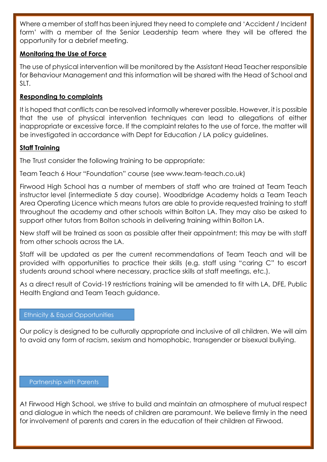Where a member of staff has been injured they need to complete and 'Accident / Incident form' with a member of the Senior Leadership team where they will be offered the opportunity for a debrief meeting.

#### **Monitoring the Use of Force**

The use of physical intervention will be monitored by the Assistant Head Teacher responsible for Behaviour Management and this information will be shared with the Head of School and SLT.

# **Responding to complaints**

It is hoped that conflicts can be resolved informally wherever possible. However, it is possible that the use of physical intervention techniques can lead to allegations of either inappropriate or excessive force. If the complaint relates to the use of force, the matter will be investigated in accordance with Dept for Education / LA policy guidelines.

#### **Staff Training**

The Trust consider the following training to be appropriate:

Team Teach 6 Hour "Foundation" course (see www.team-teach.co.uk)

Firwood High School has a number of members of staff who are trained at Team Teach instructor level (intermediate 5 day course). Woodbridge Academy holds a Team Teach Area Operating Licence which means tutors are able to provide requested training to staff throughout the academy and other schools within Bolton LA. They may also be asked to support other tutors from Bolton schools in delivering training within Bolton LA.

New staff will be trained as soon as possible after their appointment; this may be with staff from other schools across the LA.

Staff will be updated as per the current recommendations of Team Teach and will be provided with opportunities to practice their skills (e.g. staff using "caring C" to escort students around school where necessary, practice skills at staff meetings, etc.).

As a direct result of Covid-19 restrictions training will be amended to fit with LA, DFE, Public Health England and Team Teach guidance.

#### Ethnicity & Equal Opportunities

Our policy is designed to be culturally appropriate and inclusive of all children. We will aim to avoid any form of racism, sexism and homophobic, transgender or bisexual bullying.

#### Partnership with Parents

At Firwood High School, we strive to build and maintain an atmosphere of mutual respect and dialogue in which the needs of children are paramount. We believe firmly in the need for involvement of parents and carers in the education of their children at Firwood.